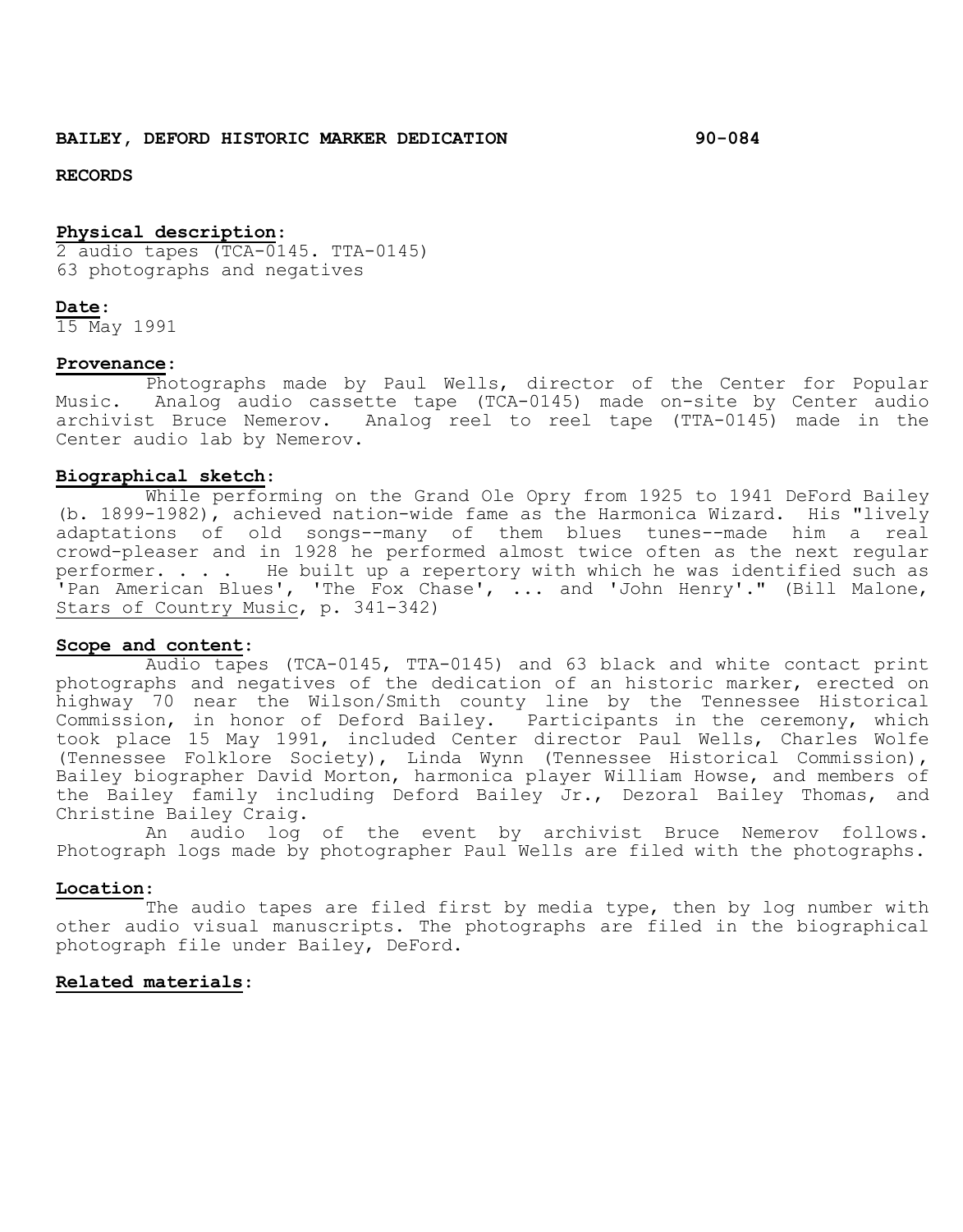## **RECORDS**

## **Physical description**:

 $\overline{2}$  audio tapes (TCA-0145. TTA-0145) 63 photographs and negatives

### **Date**:

15 May 1991

### **Provenance**:

Photographs made by Paul Wells, director of the Center for Popular Music. Analog audio cassette tape (TCA-0145) made on-site by Center audio archivist Bruce Nemerov. Analog reel to reel tape (TTA-0145) made in the Center audio lab by Nemerov.

#### **Biographical sketch**:

While performing on the Grand Ole Opry from 1925 to 1941 DeFord Bailey (b. 1899-1982), achieved nation-wide fame as the Harmonica Wizard. His "lively adaptations of old songs--many of them blues tunes--made him a real crowd-pleaser and in 1928 he performed almost twice often as the next regular performer. . . . He built up a repertory with which he was identified such as 'Pan American Blues', 'The Fox Chase', ... and 'John Henry'." (Bill Malone, Stars of Country Music, p. 341-342)

# **Scope and content**:

Audio tapes (TCA-0145, TTA-0145) and 63 black and white contact print photographs and negatives of the dedication of an historic marker, erected on highway 70 near the Wilson/Smith county line by the Tennessee Historical Commission, in honor of Deford Bailey. Participants in the ceremony, which took place 15 May 1991, included Center director Paul Wells, Charles Wolfe (Tennessee Folklore Society), Linda Wynn (Tennessee Historical Commission), Bailey biographer David Morton, harmonica player William Howse, and members of the Bailey family including Deford Bailey Jr., Dezoral Bailey Thomas, and Christine Bailey Craig.

An audio log of the event by archivist Bruce Nemerov follows. Photograph logs made by photographer Paul Wells are filed with the photographs.

#### **Location**:

The audio tapes are filed first by media type, then by log number with other audio visual manuscripts. The photographs are filed in the biographical photograph file under Bailey, DeFord.

# **Related materials**: